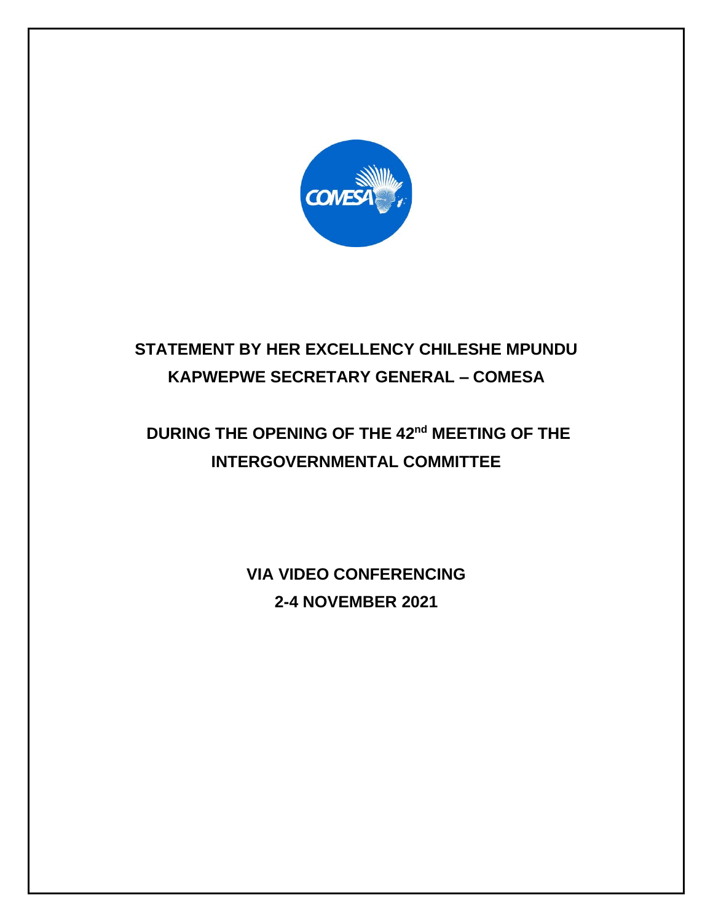

# **STATEMENT BY HER EXCELLENCY CHILESHE MPUNDU KAPWEPWE SECRETARY GENERAL – COMESA**

# DURING THE OPENING OF THE 42<sup>nd</sup> MEETING OF THE **INTERGOVERNMENTAL COMMITTEE**

**VIA VIDEO CONFERENCING 2-4 NOVEMBER 2021**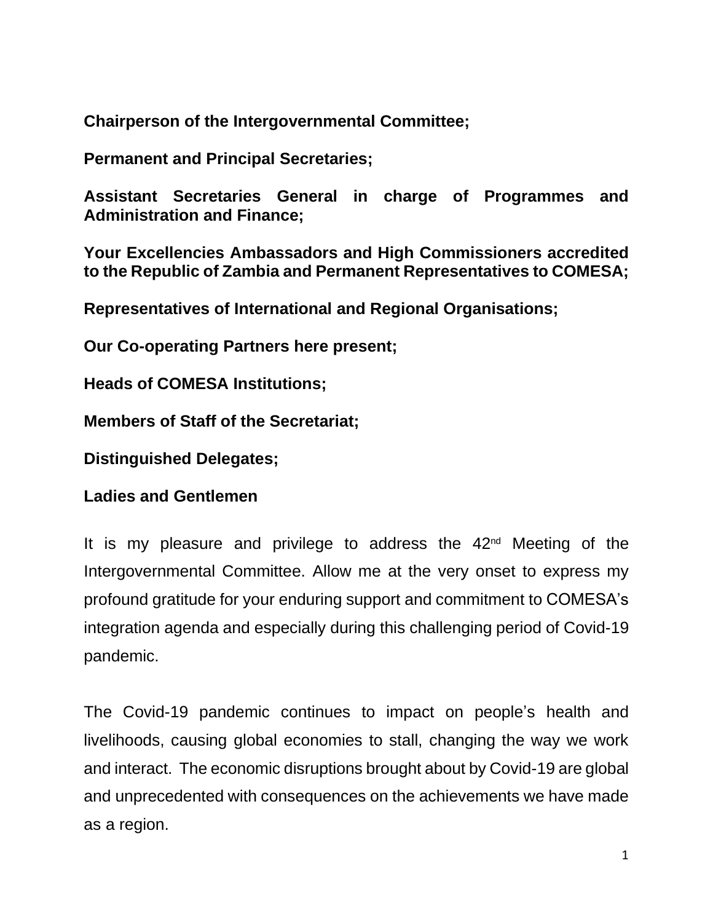**Chairperson of the Intergovernmental Committee;**

**Permanent and Principal Secretaries;**

**Assistant Secretaries General in charge of Programmes and Administration and Finance;**

**Your Excellencies Ambassadors and High Commissioners accredited to the Republic of Zambia and Permanent Representatives to COMESA;**

**Representatives of International and Regional Organisations;**

**Our Co-operating Partners here present;**

**Heads of COMESA Institutions;**

**Members of Staff of the Secretariat;**

**Distinguished Delegates;**

**Ladies and Gentlemen**

It is my pleasure and privilege to address the  $42<sup>nd</sup>$  Meeting of the Intergovernmental Committee. Allow me at the very onset to express my profound gratitude for your enduring support and commitment to COMESA's integration agenda and especially during this challenging period of Covid-19 pandemic.

The Covid-19 pandemic continues to impact on people's health and livelihoods, causing global economies to stall, changing the way we work and interact. The economic disruptions brought about by Covid-19 are global and unprecedented with consequences on the achievements we have made as a region.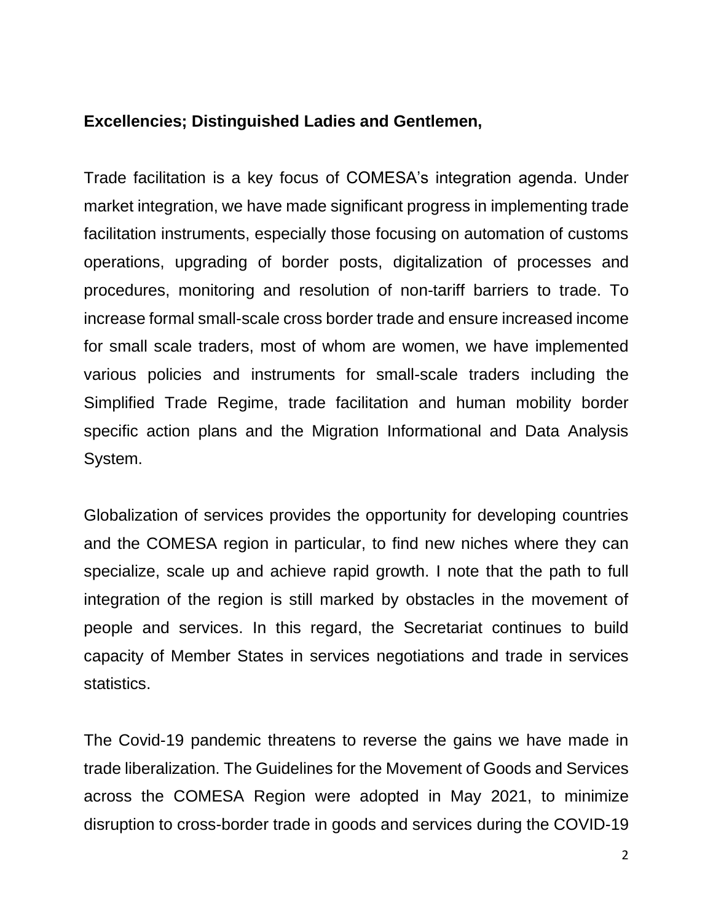#### **Excellencies; Distinguished Ladies and Gentlemen,**

Trade facilitation is a key focus of COMESA's integration agenda. Under market integration, we have made significant progress in implementing trade facilitation instruments, especially those focusing on automation of customs operations, upgrading of border posts, digitalization of processes and procedures, monitoring and resolution of non-tariff barriers to trade. To increase formal small-scale cross border trade and ensure increased income for small scale traders, most of whom are women, we have implemented various policies and instruments for small-scale traders including the Simplified Trade Regime, trade facilitation and human mobility border specific action plans and the Migration Informational and Data Analysis System.

Globalization of services provides the opportunity for developing countries and the COMESA region in particular, to find new niches where they can specialize, scale up and achieve rapid growth. I note that the path to full integration of the region is still marked by obstacles in the movement of people and services. In this regard, the Secretariat continues to build capacity of Member States in services negotiations and trade in services statistics.

The Covid-19 pandemic threatens to reverse the gains we have made in trade liberalization. The Guidelines for the Movement of Goods and Services across the COMESA Region were adopted in May 2021, to minimize disruption to cross-border trade in goods and services during the COVID-19

2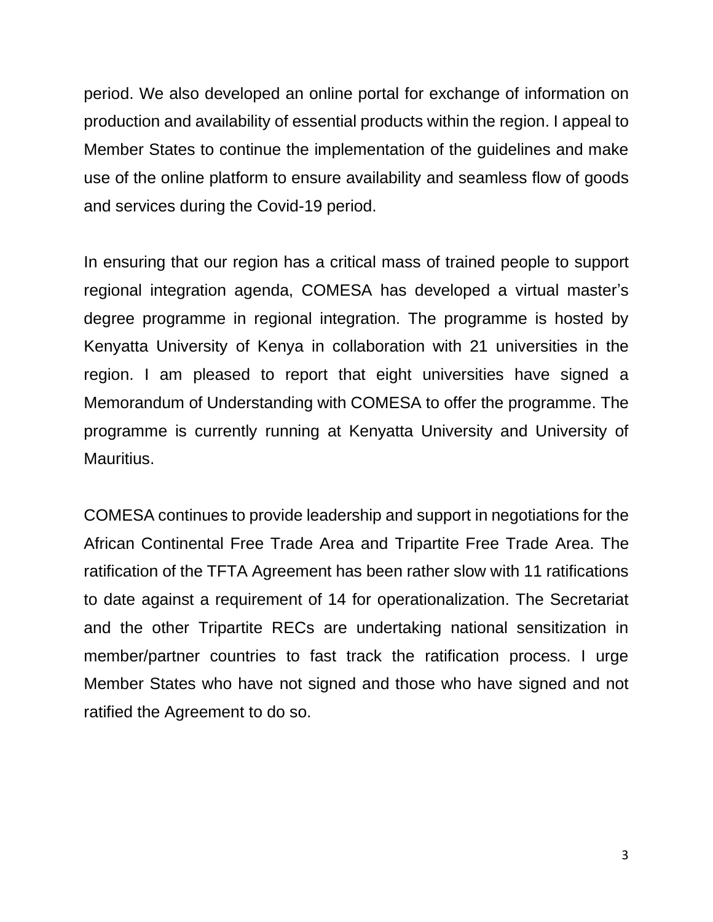period. We also developed an online portal for exchange of information on production and availability of essential products within the region. I appeal to Member States to continue the implementation of the guidelines and make use of the online platform to ensure availability and seamless flow of goods and services during the Covid-19 period.

In ensuring that our region has a critical mass of trained people to support regional integration agenda, COMESA has developed a virtual master's degree programme in regional integration. The programme is hosted by Kenyatta University of Kenya in collaboration with 21 universities in the region. I am pleased to report that eight universities have signed a Memorandum of Understanding with COMESA to offer the programme. The programme is currently running at Kenyatta University and University of Mauritius.

COMESA continues to provide leadership and support in negotiations for the African Continental Free Trade Area and Tripartite Free Trade Area. The ratification of the TFTA Agreement has been rather slow with 11 ratifications to date against a requirement of 14 for operationalization. The Secretariat and the other Tripartite RECs are undertaking national sensitization in member/partner countries to fast track the ratification process. I urge Member States who have not signed and those who have signed and not ratified the Agreement to do so.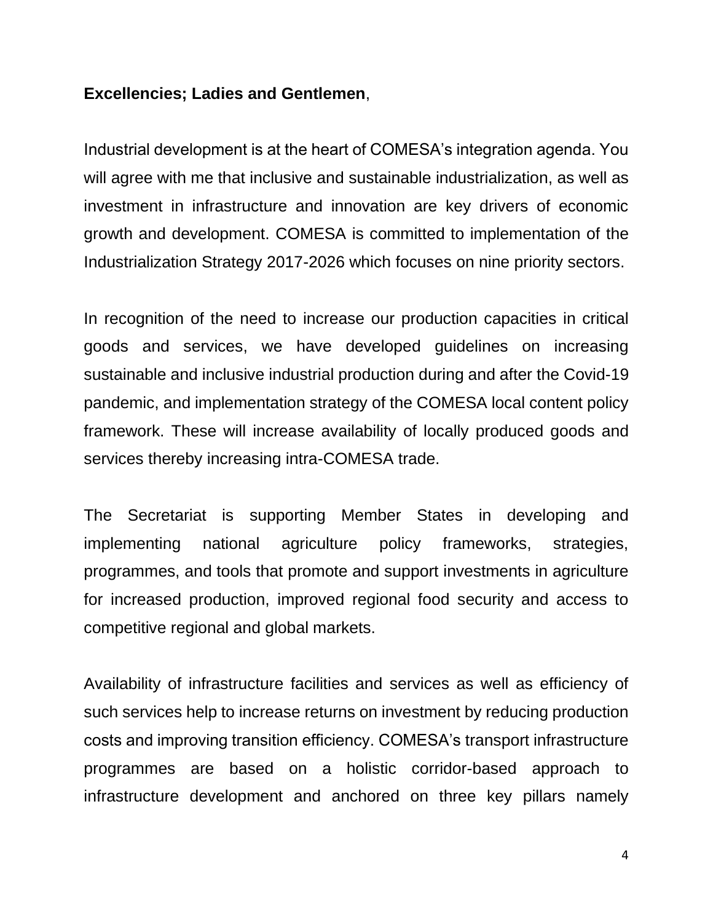#### **Excellencies; Ladies and Gentlemen**,

Industrial development is at the heart of COMESA's integration agenda. You will agree with me that inclusive and sustainable industrialization, as well as investment in infrastructure and innovation are key drivers of economic growth and development. COMESA is committed to implementation of the Industrialization Strategy 2017-2026 which focuses on nine priority sectors.

In recognition of the need to increase our production capacities in critical goods and services, we have developed guidelines on increasing sustainable and inclusive industrial production during and after the Covid-19 pandemic, and implementation strategy of the COMESA local content policy framework. These will increase availability of locally produced goods and services thereby increasing intra-COMESA trade.

The Secretariat is supporting Member States in developing and implementing national agriculture policy frameworks, strategies, programmes, and tools that promote and support investments in agriculture for increased production, improved regional food security and access to competitive regional and global markets.

Availability of infrastructure facilities and services as well as efficiency of such services help to increase returns on investment by reducing production costs and improving transition efficiency. COMESA's transport infrastructure programmes are based on a holistic corridor-based approach to infrastructure development and anchored on three key pillars namely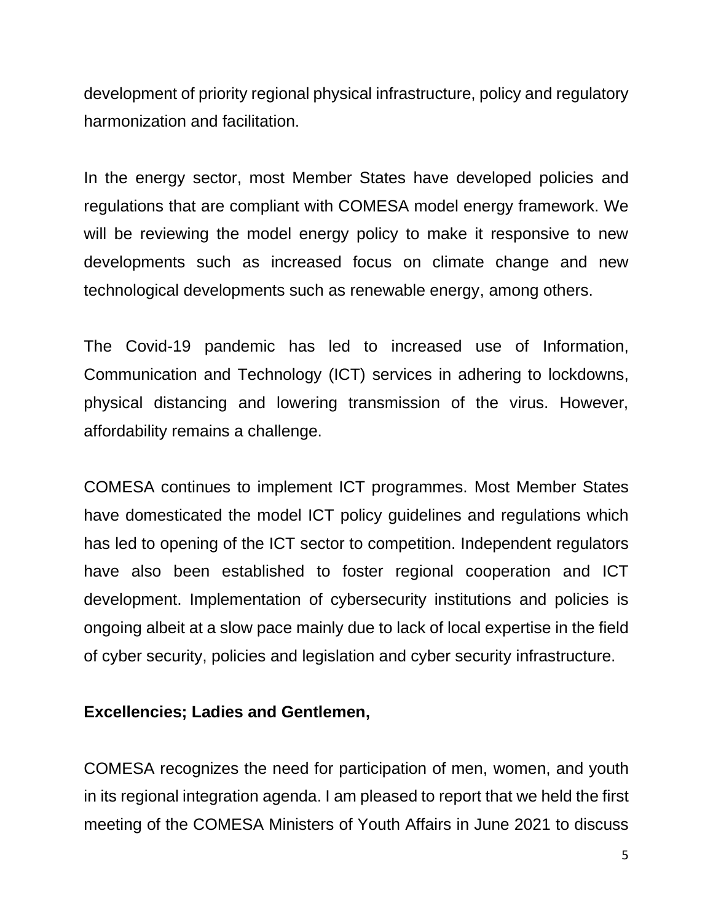development of priority regional physical infrastructure, policy and regulatory harmonization and facilitation.

In the energy sector, most Member States have developed policies and regulations that are compliant with COMESA model energy framework. We will be reviewing the model energy policy to make it responsive to new developments such as increased focus on climate change and new technological developments such as renewable energy, among others.

The Covid-19 pandemic has led to increased use of Information, Communication and Technology (ICT) services in adhering to lockdowns, physical distancing and lowering transmission of the virus. However, affordability remains a challenge.

COMESA continues to implement ICT programmes. Most Member States have domesticated the model ICT policy guidelines and regulations which has led to opening of the ICT sector to competition. Independent regulators have also been established to foster regional cooperation and ICT development. Implementation of cybersecurity institutions and policies is ongoing albeit at a slow pace mainly due to lack of local expertise in the field of cyber security, policies and legislation and cyber security infrastructure.

## **Excellencies; Ladies and Gentlemen,**

COMESA recognizes the need for participation of men, women, and youth in its regional integration agenda. I am pleased to report that we held the first meeting of the COMESA Ministers of Youth Affairs in June 2021 to discuss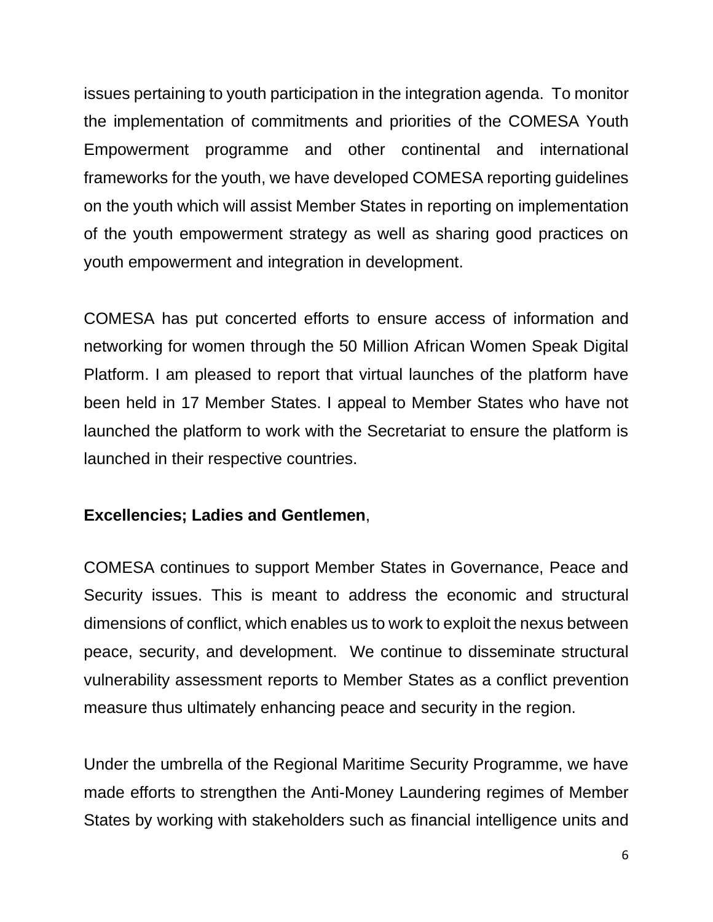issues pertaining to youth participation in the integration agenda. To monitor the implementation of commitments and priorities of the COMESA Youth Empowerment programme and other continental and international frameworks for the youth, we have developed COMESA reporting guidelines on the youth which will assist Member States in reporting on implementation of the youth empowerment strategy as well as sharing good practices on youth empowerment and integration in development.

COMESA has put concerted efforts to ensure access of information and networking for women through the 50 Million African Women Speak Digital Platform. I am pleased to report that virtual launches of the platform have been held in 17 Member States. I appeal to Member States who have not launched the platform to work with the Secretariat to ensure the platform is launched in their respective countries.

## **Excellencies; Ladies and Gentlemen**,

COMESA continues to support Member States in Governance, Peace and Security issues. This is meant to address the economic and structural dimensions of conflict, which enables us to work to exploit the nexus between peace, security, and development. We continue to disseminate structural vulnerability assessment reports to Member States as a conflict prevention measure thus ultimately enhancing peace and security in the region.

Under the umbrella of the Regional Maritime Security Programme, we have made efforts to strengthen the Anti-Money Laundering regimes of Member States by working with stakeholders such as financial intelligence units and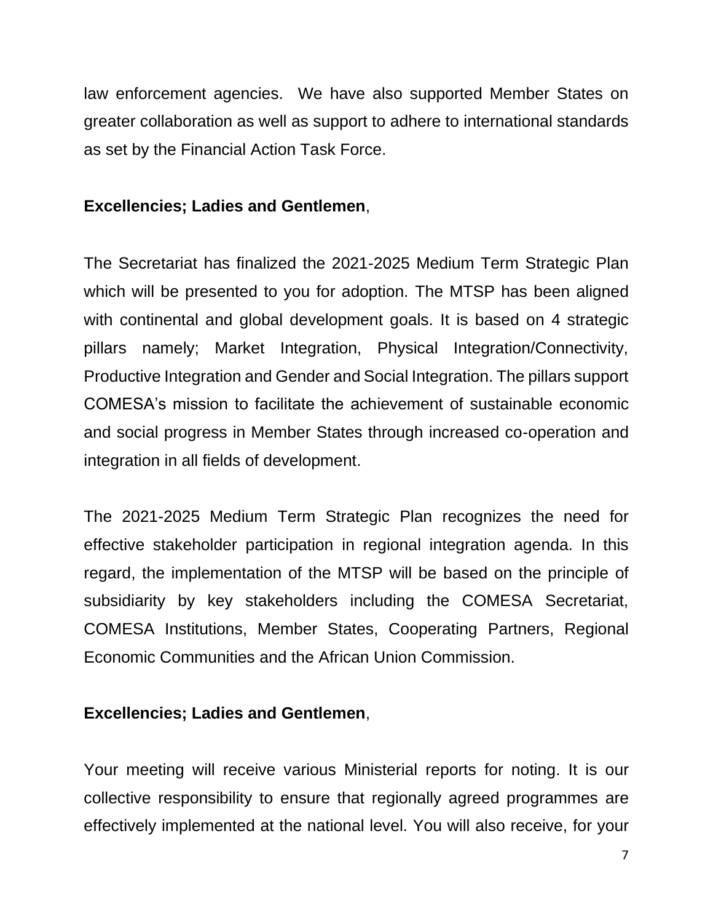law enforcement agencies. We have also supported Member States on greater collaboration as well as support to adhere to international standards as set by the Financial Action Task Force.

### **Excellencies; Ladies and Gentlemen**,

The Secretariat has finalized the 2021-2025 Medium Term Strategic Plan which will be presented to you for adoption. The MTSP has been aligned with continental and global development goals. It is based on 4 strategic pillars namely; Market Integration, Physical Integration/Connectivity, Productive Integration and Gender and Social Integration. The pillars support COMESA's mission to facilitate the achievement of sustainable economic and social progress in Member States through increased co-operation and integration in all fields of development.

The 2021-2025 Medium Term Strategic Plan recognizes the need for effective stakeholder participation in regional integration agenda. In this regard, the implementation of the MTSP will be based on the principle of subsidiarity by key stakeholders including the COMESA Secretariat, COMESA Institutions, Member States, Cooperating Partners, Regional Economic Communities and the African Union Commission.

#### **Excellencies; Ladies and Gentlemen**,

Your meeting will receive various Ministerial reports for noting. It is our collective responsibility to ensure that regionally agreed programmes are effectively implemented at the national level. You will also receive, for your